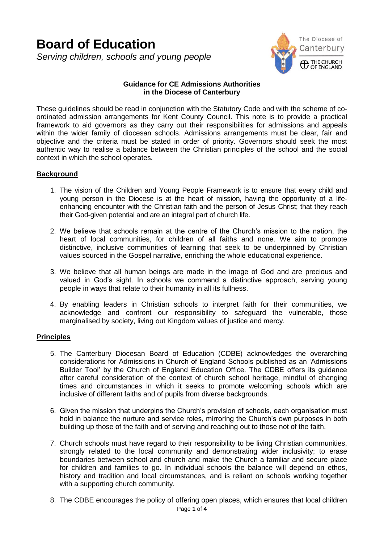# **Board of Education** *Serving children, schools and young people*



# **Guidance for CE Admissions Authorities in the Diocese of Canterbury**

These guidelines should be read in conjunction with the Statutory Code and with the scheme of coordinated admission arrangements for Kent County Council. This note is to provide a practical framework to aid governors as they carry out their responsibilities for admissions and appeals within the wider family of diocesan schools. Admissions arrangements must be clear, fair and objective and the criteria must be stated in order of priority. Governors should seek the most authentic way to realise a balance between the Christian principles of the school and the social context in which the school operates.

# **Background**

- 1. The vision of the Children and Young People Framework is to ensure that every child and young person in the Diocese is at the heart of mission, having the opportunity of a lifeenhancing encounter with the Christian faith and the person of Jesus Christ; that they reach their God-given potential and are an integral part of church life.
- 2. We believe that schools remain at the centre of the Church's mission to the nation, the heart of local communities, for children of all faiths and none. We aim to promote distinctive, inclusive communities of learning that seek to be underpinned by Christian values sourced in the Gospel narrative, enriching the whole educational experience.
- 3. We believe that all human beings are made in the image of God and are precious and valued in God's sight. In schools we commend a distinctive approach, serving young people in ways that relate to their humanity in all its fullness.
- 4. By enabling leaders in Christian schools to interpret faith for their communities, we acknowledge and confront our responsibility to safeguard the vulnerable, those marginalised by society, living out Kingdom values of justice and mercy.

# **Principles**

- 5. The Canterbury Diocesan Board of Education (CDBE) acknowledges the overarching considerations for Admissions in Church of England Schools published as an 'Admissions Builder Tool' by the Church of England Education Office. The CDBE offers its guidance after careful consideration of the context of church school heritage, mindful of changing times and circumstances in which it seeks to promote welcoming schools which are inclusive of different faiths and of pupils from diverse backgrounds.
- 6. Given the mission that underpins the Church's provision of schools, each organisation must hold in balance the nurture and service roles, mirroring the Church's own purposes in both building up those of the faith and of serving and reaching out to those not of the faith.
- 7. Church schools must have regard to their responsibility to be living Christian communities, strongly related to the local community and demonstrating wider inclusivity; to erase boundaries between school and church and make the Church a familiar and secure place for children and families to go. In individual schools the balance will depend on ethos, history and tradition and local circumstances, and is reliant on schools working together with a supporting church community.
- Page **1** of **4** 8. The CDBE encourages the policy of offering open places, which ensures that local children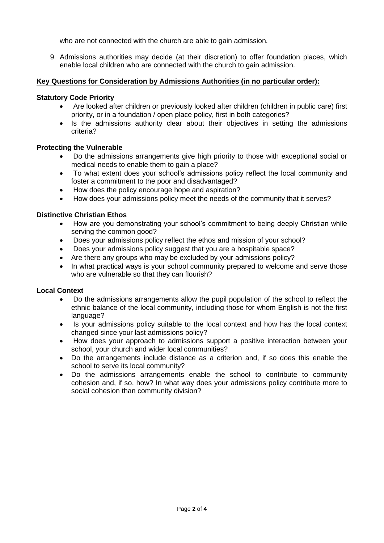who are not connected with the church are able to gain admission.

9. Admissions authorities may decide (at their discretion) to offer foundation places, which enable local children who are connected with the church to gain admission.

# **Key Questions for Consideration by Admissions Authorities (in no particular order):**

# **Statutory Code Priority**

- Are looked after children or previously looked after children (children in public care) first priority, or in a foundation / open place policy, first in both categories?
- Is the admissions authority clear about their objectives in setting the admissions criteria?

# **Protecting the Vulnerable**

- Do the admissions arrangements give high priority to those with exceptional social or medical needs to enable them to gain a place?
- To what extent does your school's admissions policy reflect the local community and foster a commitment to the poor and disadvantaged?
- How does the policy encourage hope and aspiration?
- How does your admissions policy meet the needs of the community that it serves?

# **Distinctive Christian Ethos**

- How are you demonstrating your school's commitment to being deeply Christian while serving the common good?
- Does your admissions policy reflect the ethos and mission of your school?
- Does your admissions policy suggest that you are a hospitable space?
- Are there any groups who may be excluded by your admissions policy?
- In what practical ways is your school community prepared to welcome and serve those who are vulnerable so that they can flourish?

# **Local Context**

- Do the admissions arrangements allow the pupil population of the school to reflect the ethnic balance of the local community, including those for whom English is not the first language?
- Is your admissions policy suitable to the local context and how has the local context changed since your last admissions policy?
- How does your approach to admissions support a positive interaction between your school, your church and wider local communities?
- Do the arrangements include distance as a criterion and, if so does this enable the school to serve its local community?
- Do the admissions arrangements enable the school to contribute to community cohesion and, if so, how? In what way does your admissions policy contribute more to social cohesion than community division?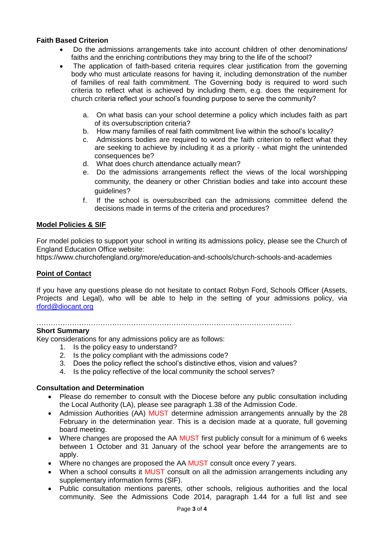# **Faith Based Criterion**

- Do the admissions arrangements take into account children of other denominations/ faiths and the enriching contributions they may bring to the life of the school?
- The application of faith-based criteria requires clear justification from the governing body who must articulate reasons for having it, including demonstration of the number of families of real faith commitment. The Governing body is required to word such criteria to reflect what is achieved by including them, e.g. does the requirement for church criteria reflect your school's founding purpose to serve the community?
	- a. On what basis can your school determine a policy which includes faith as part of its oversubscription criteria?
	- b. How many families of real faith commitment live within the school's locality?
	- c. Admissions bodies are required to word the faith criterion to reflect what they are seeking to achieve by including it as a priority - what might the unintended consequences be?
	- d. What does church attendance actually mean?
	- e. Do the admissions arrangements reflect the views of the local worshipping community, the deanery or other Christian bodies and take into account these guidelines?
	- f. If the school is oversubscribed can the admissions committee defend the decisions made in terms of the criteria and procedures?

# **Model Policies & SIF**

For model policies to support your school in writing its admissions policy, please see the Church of England Education Office website:

<https://www.churchofengland.org/more/education-and-schools/church-schools-and-academies>

# **Point of Contact**

If you have any questions please do not hesitate to contact Robyn Ford, Schools Officer (Assets, Projects and Legal), who will be able to help in the setting of your admissions policy, via [rford@diocant.org](mailto:rford@diocant.org)

#### ………………………………………………………………………………………………

# **Short Summary**

Key considerations for any admissions policy are as follows:

- 1. Is the policy easy to understand?
- 2. Is the policy compliant with the admissions code?
- 3. Does the policy reflect the school's distinctive ethos, vision and values?
- 4. Is the policy reflective of the local community the school serves?

# **Consultation and Determination**

- Please do remember to consult with the Diocese before any public consultation including the Local Authority (LA), please see paragraph 1.38 of the Admission Code.
- Admission Authorities (AA) MUST determine admission arrangements annually by the 28 February in the determination year. This is a decision made at a quorate, full governing board meeting.
- Where changes are proposed the AA MUST first publicly consult for a minimum of 6 weeks between 1 October and 31 January of the school year before the arrangements are to apply.
- Where no changes are proposed the AA MUST consult once every 7 years.
- When a school consults it MUST consult on all the admission arrangements including any supplementary information forms (SIF).
- Public consultation mentions parents, other schools, religious authorities and the local community. See the Admissions Code 2014, paragraph 1.44 for a full list and see